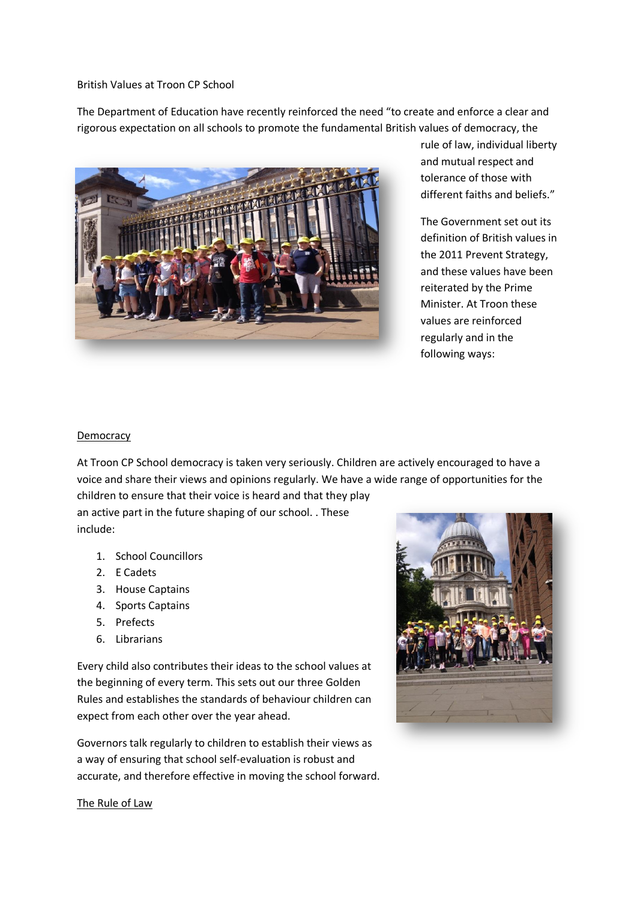#### British Values at Troon CP School

The Department of Education have recently reinforced the need "to create and enforce a clear and rigorous expectation on all schools to promote the fundamental British values of democracy, the



rule of law, individual liberty and mutual respect and tolerance of those with different faiths and beliefs."

The Government set out its definition of British values in the 2011 Prevent Strategy, and these values have been reiterated by the Prime Minister. At Troon these values are reinforced regularly and in the following ways:

#### **Democracy**

At Troon CP School democracy is taken very seriously. Children are actively encouraged to have a voice and share their views and opinions regularly. We have a wide range of opportunities for the

children to ensure that their voice is heard and that they play an active part in the future shaping of our school. . These include:

- 1. School Councillors
- 2. E Cadets
- 3. House Captains
- 4. Sports Captains
- 5. Prefects
- 6. Librarians

Every child also contributes their ideas to the school values at the beginning of every term. This sets out our three Golden Rules and establishes the standards of behaviour children can expect from each other over the year ahead.

Governors talk regularly to children to establish their views as a way of ensuring that school self-evaluation is robust and accurate, and therefore effective in moving the school forward.



The Rule of Law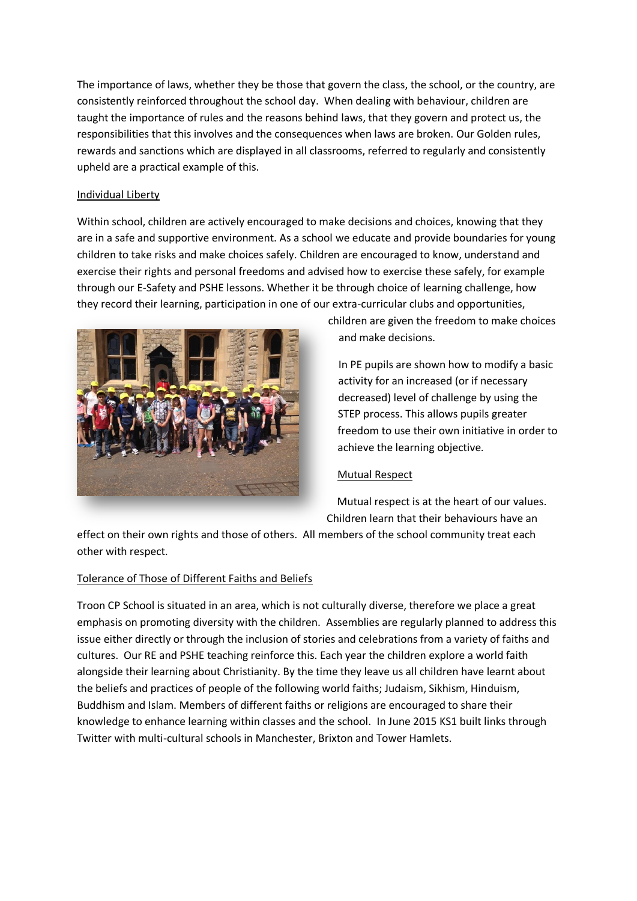The importance of laws, whether they be those that govern the class, the school, or the country, are consistently reinforced throughout the school day. When dealing with behaviour, children are taught the importance of rules and the reasons behind laws, that they govern and protect us, the responsibilities that this involves and the consequences when laws are broken. Our Golden rules, rewards and sanctions which are displayed in all classrooms, referred to regularly and consistently upheld are a practical example of this.

#### Individual Liberty

Within school, children are actively encouraged to make decisions and choices, knowing that they are in a safe and supportive environment. As a school we educate and provide boundaries for young children to take risks and make choices safely. Children are encouraged to know, understand and exercise their rights and personal freedoms and advised how to exercise these safely, for example through our E-Safety and PSHE lessons. Whether it be through choice of learning challenge, how they record their learning, participation in one of our extra-curricular clubs and opportunities,



children are given the freedom to make choices and make decisions.

In PE pupils are shown how to modify a basic activity for an increased (or if necessary decreased) level of challenge by using the STEP process. This allows pupils greater freedom to use their own initiative in order to achieve the learning objective.

## Mutual Respect

Mutual respect is at the heart of our values.

Children learn that their behaviours have an

effect on their own rights and those of others. All members of the school community treat each other with respect.

## Tolerance of Those of Different Faiths and Beliefs

Troon CP School is situated in an area, which is not culturally diverse, therefore we place a great emphasis on promoting diversity with the children. Assemblies are regularly planned to address this issue either directly or through the inclusion of stories and celebrations from a variety of faiths and cultures. Our RE and PSHE teaching reinforce this. Each year the children explore a world faith alongside their learning about Christianity. By the time they leave us all children have learnt about the beliefs and practices of people of the following world faiths; Judaism, Sikhism, Hinduism, Buddhism and Islam. Members of different faiths or religions are encouraged to share their knowledge to enhance learning within classes and the school. In June 2015 KS1 built links through Twitter with multi-cultural schools in Manchester, Brixton and Tower Hamlets.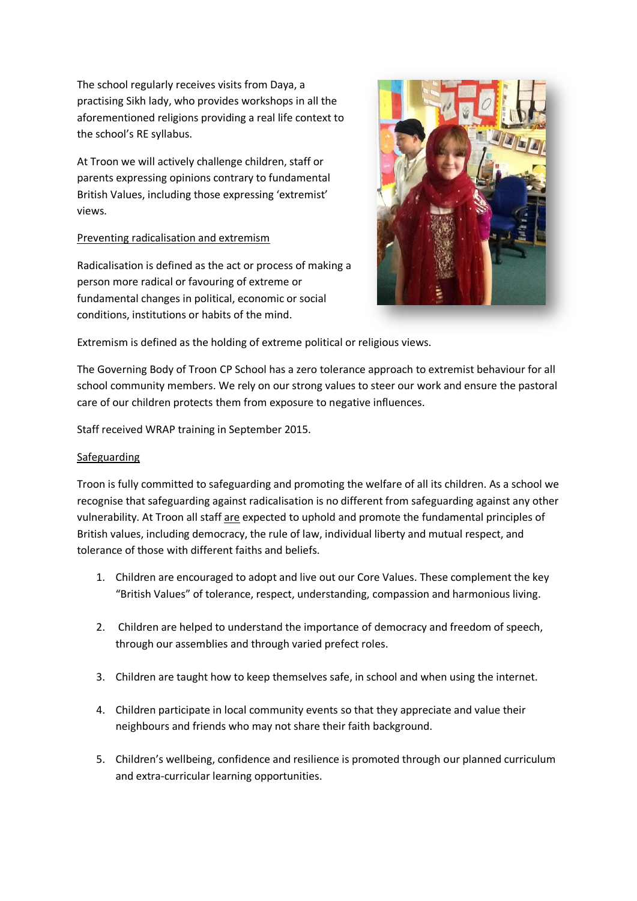The school regularly receives visits from Daya, a practising Sikh lady, who provides workshops in all the aforementioned religions providing a real life context to the school's RE syllabus.

At Troon we will actively challenge children, staff or parents expressing opinions contrary to fundamental British Values, including those expressing 'extremist' views.

## Preventing radicalisation and extremism

Radicalisation is defined as the act or process of making a person more radical or favouring of extreme or fundamental changes in political, economic or social conditions, institutions or habits of the mind.



Extremism is defined as the holding of extreme political or religious views.

The Governing Body of Troon CP School has a zero tolerance approach to extremist behaviour for all school community members. We rely on our strong values to steer our work and ensure the pastoral care of our children protects them from exposure to negative influences.

Staff received WRAP training in September 2015.

## Safeguarding

Troon is fully committed to safeguarding and promoting the welfare of all its children. As a school we recognise that safeguarding against radicalisation is no different from safeguarding against any other vulnerability. At Troon all staff are expected to uphold and promote the fundamental principles of British values, including democracy, the rule of law, individual liberty and mutual respect, and tolerance of those with different faiths and beliefs.

- 1. Children are encouraged to adopt and live out our Core Values. These complement the key "British Values" of tolerance, respect, understanding, compassion and harmonious living.
- 2. Children are helped to understand the importance of democracy and freedom of speech, through our assemblies and through varied prefect roles.
- 3. Children are taught how to keep themselves safe, in school and when using the internet.
- 4. Children participate in local community events so that they appreciate and value their neighbours and friends who may not share their faith background.
- 5. Children's wellbeing, confidence and resilience is promoted through our planned curriculum and extra-curricular learning opportunities.